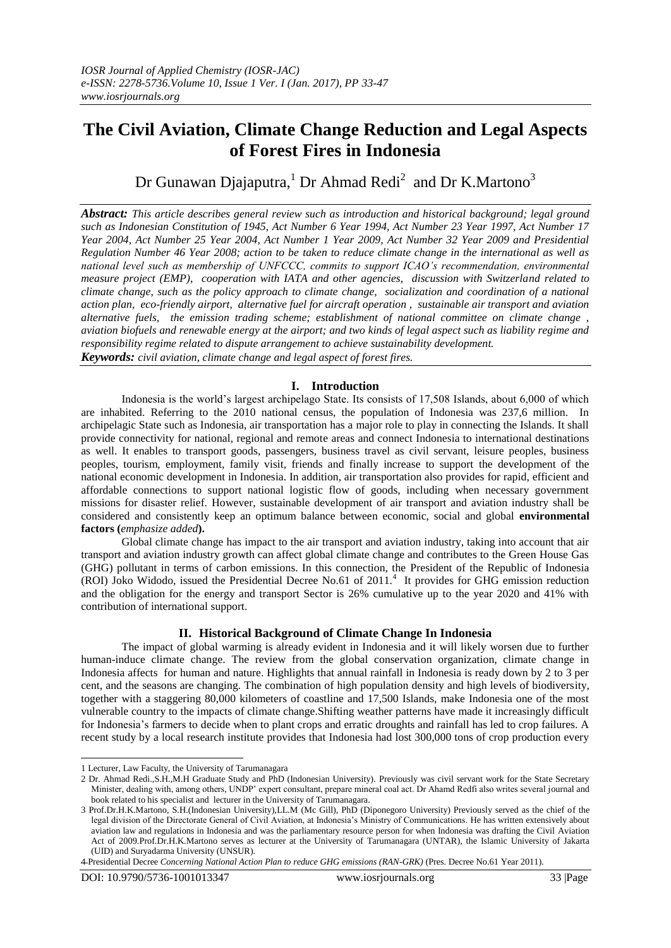## **The Civil Aviation, Climate Change Reduction and Legal Aspects of Forest Fires in Indonesia**

Dr Gunawan Djajaputra, $^{1}$  Dr Ahmad Redi<sup>2</sup> and Dr K.Martono<sup>3</sup>

*Abstract: This article describes general review such as introduction and historical background; legal ground such as Indonesian Constitution of 1945, Act Number 6 Year 1994, Act Number 23 Year 1997, Act Number 17 Year 2004, Act Number 25 Year 2004, Act Number 1 Year 2009, Act Number 32 Year 2009 and Presidential Regulation Number 46 Year 2008; action to be taken to reduce climate change in the international as well as national level such as membership of UNFCCC, commits to support ICAO's recommendation, environmental measure project (EMP), cooperation with IATA and other agencies, discussion with Switzerland related to climate change, such as the policy approach to climate change, socialization and coordination of a national action plan, eco-friendly airport, alternative fuel for aircraft operation , sustainable air transport and aviation alternative fuels, the emission trading scheme; establishment of national committee on climate change , aviation biofuels and renewable energy at the airport; and two kinds of legal aspect such as liability regime and responsibility regime related to dispute arrangement to achieve sustainability development. Keywords: civil aviation, climate change and legal aspect of forest fires.*

## **I. Introduction**

Indonesia is the world's largest archipelago State. Its consists of 17,508 Islands, about 6,000 of which are inhabited. Referring to the 2010 national census, the population of Indonesia was 237,6 million. In archipelagic State such as Indonesia, air transportation has a major role to play in connecting the Islands. It shall provide connectivity for national, regional and remote areas and connect Indonesia to international destinations as well. It enables to transport goods, passengers, business travel as civil servant, leisure peoples, business peoples, tourism, employment, family visit, friends and finally increase to support the development of the national economic development in Indonesia. In addition, air transportation also provides for rapid, efficient and affordable connections to support national logistic flow of goods, including when necessary government missions for disaster relief. However, sustainable development of air transport and aviation industry shall be considered and consistently keep an optimum balance between economic, social and global **environmental factors (***emphasize added***).**

Global climate change has impact to the air transport and aviation industry, taking into account that air transport and aviation industry growth can affect global climate change and contributes to the Green House Gas (GHG) pollutant in terms of carbon emissions. In this connection, the President of the Republic of Indonesia (ROI) Joko Widodo, issued the Presidential Decree No.61 of 2011.<sup>4</sup> It provides for GHG emission reduction and the obligation for the energy and transport Sector is 26% cumulative up to the year 2020 and 41% with contribution of international support.

## **II. Historical Background of Climate Change In Indonesia**

The impact of global warming is already evident in Indonesia and it will likely worsen due to further human-induce climate change. The review from the global conservation organization, climate change in Indonesia affects for human and nature. Highlights that annual rainfall in Indonesia is ready down by 2 to 3 per cent, and the seasons are changing. The combination of high population density and high levels of biodiversity, together with a staggering 80,000 kilometers of coastline and 17,500 Islands, make Indonesia one of the most vulnerable country to the impacts of climate change.Shifting weather patterns have made it increasingly difficult for Indonesia's farmers to decide when to plant crops and erratic droughts and rainfall has led to crop failures. A recent study by a local research institute provides that Indonesia had lost 300,000 tons of crop production every

**.** 

<sup>1</sup> Lecturer, Law Faculty, the University of Tarumanagara

<sup>2</sup> Dr. Ahmad Redi.,S.H.,M.H Graduate Study and PhD (Indonesian University). Previously was civil servant work for the State Secretary Minister, dealing with, among others, UNDP' expert consultant, prepare mineral coal act. Dr Ahamd Redfi also writes several journal and book related to his specialist and lecturer in the University of Tarumanagara.

<sup>3</sup> Prof.Dr.H.K.Martono, S.H.(Indonesian University),LL.M (Mc Gill), PhD (Diponegoro University) Previously served as the chief of the legal division of the Directorate General of Civil Aviation, at Indonesia's Ministry of Communications. He has written extensively about aviation law and regulations in Indonesia and was the parliamentary resource person for when Indonesia was drafting the Civil Aviation Act of 2009.Prof.Dr.H.K.Martono serves as lecturer at the University of Tarumanagara (UNTAR), the Islamic University of Jakarta (UID) and Suryadarma University (UNSUR).

<sup>4</sup> Presidential Decree *Concerning National Action Plan to reduce GHG emissions (RAN-GRK)* (Pres. Decree No.61 Year 2011).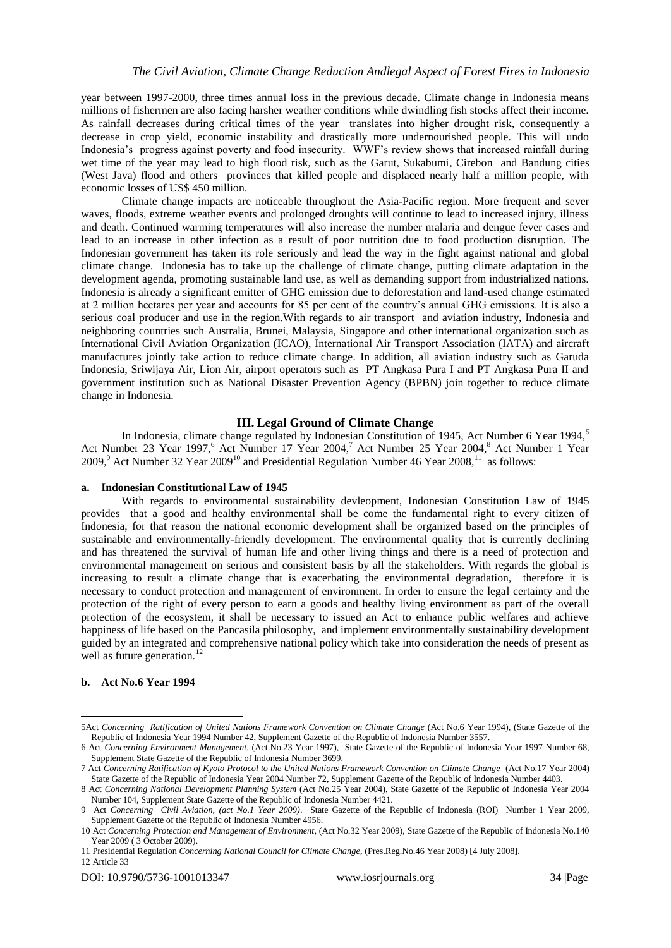year between 1997-2000, three times annual loss in the previous decade. Climate change in Indonesia means millions of fishermen are also facing harsher weather conditions while dwindling fish stocks affect their income. As rainfall decreases during critical times of the year translates into higher drought risk, consequently a decrease in crop yield, economic instability and drastically more undernourished people. This will undo Indonesia's progress against poverty and food insecurity. WWF's review shows that increased rainfall during wet time of the year may lead to high flood risk, such as the Garut, Sukabumi, Cirebon and Bandung cities (West Java) flood and others provinces that killed people and displaced nearly half a million people, with economic losses of US\$ 450 million.

Climate change impacts are noticeable throughout the Asia-Pacific region. More frequent and sever waves, floods, extreme weather events and prolonged droughts will continue to lead to increased injury, illness and death. Continued warming temperatures will also increase the number malaria and dengue fever cases and lead to an increase in other infection as a result of poor nutrition due to food production disruption. The Indonesian government has taken its role seriously and lead the way in the fight against national and global climate change. Indonesia has to take up the challenge of climate change, putting climate adaptation in the development agenda, promoting sustainable land use, as well as demanding support from industrialized nations. Indonesia is already a significant emitter of GHG emission due to deforestation and land-used change estimated at 2 million hectares per year and accounts for 85 per cent of the country's annual GHG emissions. It is also a serious coal producer and use in the region.With regards to air transport and aviation industry, Indonesia and neighboring countries such Australia, Brunei, Malaysia, Singapore and other international organization such as International Civil Aviation Organization (ICAO), International Air Transport Association (IATA) and aircraft manufactures jointly take action to reduce climate change. In addition, all aviation industry such as Garuda Indonesia, Sriwijaya Air, Lion Air, airport operators such as PT Angkasa Pura I and PT Angkasa Pura II and government institution such as National Disaster Prevention Agency (BPBN) join together to reduce climate change in Indonesia.

## **III. Legal Ground of Climate Change**

In Indonesia, climate change regulated by Indonesian Constitution of 1945, Act Number 6 Year 1994,<sup>5</sup> Act Number 23 Year 1997,<sup>6</sup> Act Number 17 Year 2004,<sup>7</sup> Act Number 25 Year 2004,<sup>8</sup> Act Number 1 Year 2009,<sup>9</sup> Act Number 32 Year 2009<sup>10</sup> and Presidential Regulation Number 46 Year 2008,<sup>11</sup> as follows:

#### **a. Indonesian Constitutional Law of 1945**

With regards to environmental sustainability devleopment, Indonesian Constitution Law of 1945 provides that a good and healthy environmental shall be come the fundamental right to every citizen of Indonesia, for that reason the national economic development shall be organized based on the principles of sustainable and environmentally-friendly development. The environmental quality that is currently declining and has threatened the survival of human life and other living things and there is a need of protection and environmental management on serious and consistent basis by all the stakeholders. With regards the global is increasing to result a climate change that is exacerbating the environmental degradation, therefore it is necessary to conduct protection and management of environment. In order to ensure the legal certainty and the protection of the right of every person to earn a goods and healthy living environment as part of the overall protection of the ecosystem, it shall be necessary to issued an Act to enhance public welfares and achieve happiness of life based on the Pancasila philosophy, and implement environmentally sustainability development guided by an integrated and comprehensive national policy which take into consideration the needs of present as well as future generation.<sup>12</sup>

#### **b. Act No.6 Year 1994**

**-**

<sup>5</sup>Act *Concerning Ratification of United Nations Framework Convention on Climate Change* (Act No.6 Year 1994), (State Gazette of the Republic of Indonesia Year 1994 Number 42, Supplement Gazette of the Republic of Indonesia Number 3557.

<sup>6</sup> Act *Concerning Environment Management*, (Act.No.23 Year 1997), State Gazette of the Republic of Indonesia Year 1997 Number 68, Supplement State Gazette of the Republic of Indonesia Number 3699.

<sup>7</sup> Act *Concerning Ratification of Kyoto Protocol to the United Nations Framework Convention on Climate Change* (Act No.17 Year 2004) State Gazette of the Republic of Indonesia Year 2004 Number 72, Supplement Gazette of the Republic of Indonesia Number 4403.

<sup>8</sup> Act *Concerning National Development Planning System* (Act No.25 Year 2004), State Gazette of the Republic of Indonesia Year 2004 Number 104, Supplement State Gazette of the Republic of Indonesia Number 4421.

<sup>9</sup> Act *Concerning Civil Aviation, (act No.1 Year 2009)*. State Gazette of the Republic of Indonesia (ROI) Number 1 Year 2009, Supplement Gazette of the Republic of Indonesia Number 4956.

<sup>10</sup> Act *Concerning Protection and Management of Environment*, (Act No.32 Year 2009), State Gazette of the Republic of Indonesia No.140 Year 2009 ( 3 October 2009).

<sup>11</sup> Presidential Regulation *Concerning National Council for Climate Change*, (Pres.Reg.No.46 Year 2008) [4 July 2008].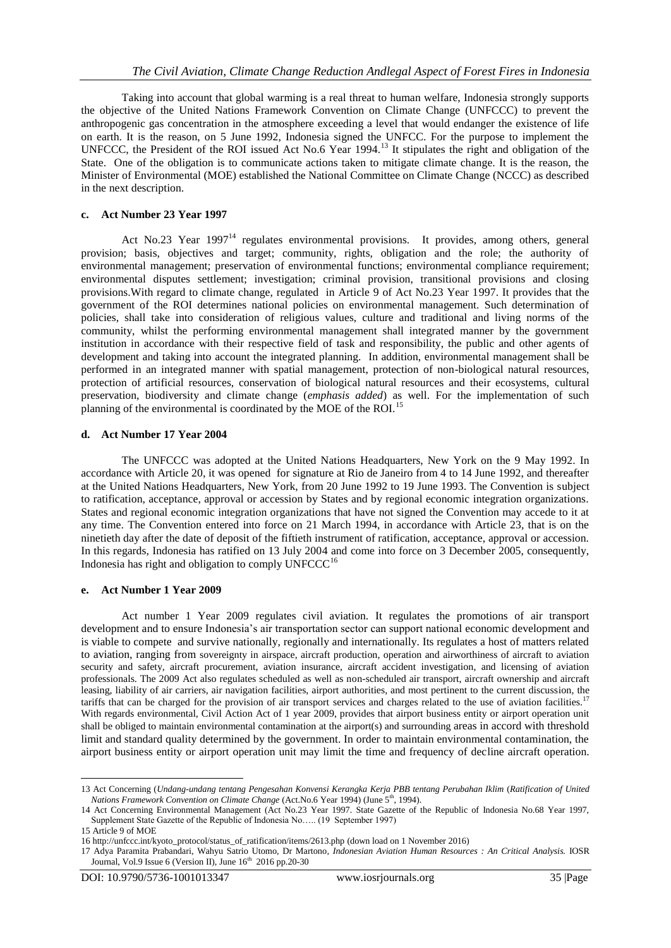Taking into account that global warming is a real threat to human welfare, Indonesia strongly supports the objective of the United Nations Framework Convention on Climate Change (UNFCCC) to prevent the anthropogenic gas concentration in the atmosphere exceeding a level that would endanger the existence of life on earth. It is the reason, on 5 June 1992, Indonesia signed the UNFCC. For the purpose to implement the UNFCCC, the President of the ROI issued Act No.6 Year 1994.<sup>13</sup> It stipulates the right and obligation of the State. One of the obligation is to communicate actions taken to mitigate climate change. It is the reason, the Minister of Environmental (MOE) established the National Committee on Climate Change (NCCC) as described in the next description.

#### **c. Act Number 23 Year 1997**

Act No.23 Year 1997<sup>14</sup> regulates environmental provisions. It provides, among others, general provision; basis, objectives and target; community, rights, obligation and the role; the authority of environmental management; preservation of environmental functions; environmental compliance requirement; environmental disputes settlement; investigation; criminal provision, transitional provisions and closing provisions.With regard to climate change, regulated in Article 9 of Act No.23 Year 1997. It provides that the government of the ROI determines national policies on environmental management. Such determination of policies, shall take into consideration of religious values, culture and traditional and living norms of the community, whilst the performing environmental management shall integrated manner by the government institution in accordance with their respective field of task and responsibility, the public and other agents of development and taking into account the integrated planning. In addition, environmental management shall be performed in an integrated manner with spatial management, protection of non-biological natural resources, protection of artificial resources, conservation of biological natural resources and their ecosystems, cultural preservation, biodiversity and climate change (*emphasis added*) as well. For the implementation of such planning of the environmental is coordinated by the MOE of the ROI.<sup>15</sup>

#### **d. Act Number 17 Year 2004**

The UNFCCC was adopted at the United Nations Headquarters, New York on the 9 May 1992. In accordance with Article 20, it was opened for signature at Rio de Janeiro from 4 to 14 June 1992, and thereafter at the United Nations Headquarters, New York, from 20 June 1992 to 19 June 1993. The Convention is subject to ratification, acceptance, approval or accession by States and by regional economic integration organizations. States and regional economic integration organizations that have not signed the Convention may accede to it at any time. The Convention entered into force on 21 March 1994, in accordance with Article 23, that is on the ninetieth day after the date of deposit of the fiftieth instrument of ratification, acceptance, approval or accession. In this regards, Indonesia has ratified on 13 July 2004 and come into force on 3 December 2005, consequently, Indonesia has right and obligation to comply  $UNFCCC<sup>16</sup>$ 

#### **e. Act Number 1 Year 2009**

Act number 1 Year 2009 regulates civil aviation. It regulates the promotions of air transport development and to ensure Indonesia's air transportation sector can support national economic development and is viable to compete and survive nationally, regionally and internationally. Its regulates a host of matters related to aviation, ranging from sovereignty in airspace, aircraft production, operation and airworthiness of aircraft to aviation security and safety, aircraft procurement, aviation insurance, aircraft accident investigation, and licensing of aviation professionals. The 2009 Act also regulates scheduled as well as non-scheduled air transport, aircraft ownership and aircraft leasing, liability of air carriers, air navigation facilities, airport authorities, and most pertinent to the current discussion, the tariffs that can be charged for the provision of air transport services and charges related to the use of aviation facilities.<sup>1</sup> With regards environmental, Civil Action Act of 1 year 2009, provides that airport business entity or airport operation unit shall be obliged to maintain environmental contamination at the airport(s) and surrounding areas in accord with threshold limit and standard quality determined by the government. In order to maintain environmental contamination, the airport business entity or airport operation unit may limit the time and frequency of decline aircraft operation.

**.** 

<sup>13</sup> Act Concerning (*Undang-undang tentang Pengesahan Konvensi Kerangka Kerja PBB tentang Perubahan Iklim* (*Ratification of United Nations Framework Convention on Climate Change (Act.No.6 Year 1994) (June 5<sup>th</sup>, 1994).* 

<sup>14</sup> Act Concerning Environmental Management (Act No.23 Year 1997. State Gazette of the Republic of Indonesia No.68 Year 1997, Supplement State Gazette of the Republic of Indonesia No….. (19 September 1997)

<sup>15</sup> Article 9 of MOE

<sup>16</sup> [http://unfccc.int/kyoto\\_protocol/status\\_of\\_ratification/items/2613.php](http://unfccc.int/kyoto_protocol/status_of_ratification/items/2613.php) (down load on 1 November 2016)

<sup>17</sup> Adya Paramita Prabandari, Wahyu Satrio Utomo, Dr Martono*, Indonesian Aviation Human Resources : An Critical Analysis.* IOSR Journal, Vol.9 Issue 6 (Version II), June  $16<sup>th</sup>$  2016 pp.20-30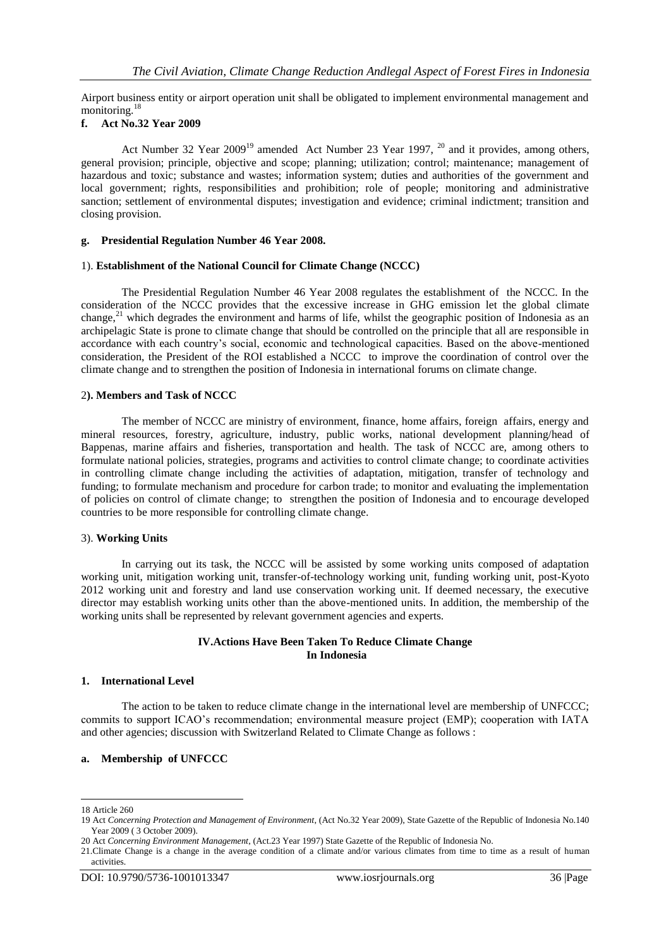Airport business entity or airport operation unit shall be obligated to implement environmental management and monitoring.<sup>18</sup>

#### **f. Act No.32 Year 2009**

Act Number 32 Year 2009<sup>19</sup> amended Act Number 23 Year 1997, <sup>20</sup> and it provides, among others, general provision; principle, objective and scope; planning; utilization; control; maintenance; management of hazardous and toxic; substance and wastes; information system; duties and authorities of the government and local government; rights, responsibilities and prohibition; role of people; monitoring and administrative sanction; settlement of environmental disputes; investigation and evidence; criminal indictment; transition and closing provision.

#### **g. Presidential Regulation Number 46 Year 2008.**

#### 1). **Establishment of the National Council for Climate Change (NCCC)**

The Presidential Regulation Number 46 Year 2008 regulates the establishment of the NCCC. In the consideration of the NCCC provides that the excessive increase in GHG emission let the global climate change, $^{21}$  which degrades the environment and harms of life, whilst the geographic position of Indonesia as an archipelagic State is prone to climate change that should be controlled on the principle that all are responsible in accordance with each country's social, economic and technological capacities. Based on the above-mentioned consideration, the President of the ROI established a NCCC to improve the coordination of control over the climate change and to strengthen the position of Indonesia in international forums on climate change.

#### 2**). Members and Task of NCCC**

The member of NCCC are ministry of environment, finance, home affairs, foreign affairs, energy and mineral resources, forestry, agriculture, industry, public works, national development planning/head of Bappenas, marine affairs and fisheries, transportation and health. The task of NCCC are, among others to formulate national policies, strategies, programs and activities to control climate change; to coordinate activities in controlling climate change including the activities of adaptation, mitigation, transfer of technology and funding; to formulate mechanism and procedure for carbon trade; to monitor and evaluating the implementation of policies on control of climate change; to strengthen the position of Indonesia and to encourage developed countries to be more responsible for controlling climate change.

#### 3). **Working Units**

In carrying out its task, the NCCC will be assisted by some working units composed of adaptation working unit, mitigation working unit, transfer-of-technology working unit, funding working unit, post-Kyoto 2012 working unit and forestry and land use conservation working unit. If deemed necessary, the executive director may establish working units other than the above-mentioned units. In addition, the membership of the working units shall be represented by relevant government agencies and experts.

#### **IV.Actions Have Been Taken To Reduce Climate Change In Indonesia**

#### **1. International Level**

The action to be taken to reduce climate change in the international level are membership of UNFCCC; commits to support ICAO's recommendation; environmental measure project (EMP); cooperation with IATA and other agencies; discussion with Switzerland Related to Climate Change as follows :

#### **a. Membership of UNFCCC**

**.** 

<sup>18</sup> Article 260

<sup>19</sup> Act *Concerning Protection and Management of Environment*, (Act No.32 Year 2009), State Gazette of the Republic of Indonesia No.140 Year 2009 ( 3 October 2009).

<sup>20</sup> Act *Concerning Environment Management*, (Act.23 Year 1997) State Gazette of the Republic of Indonesia No.

<sup>21.</sup>Climate Change is a change in the average condition of a climate and/or various climates from time to time as a result of human activities.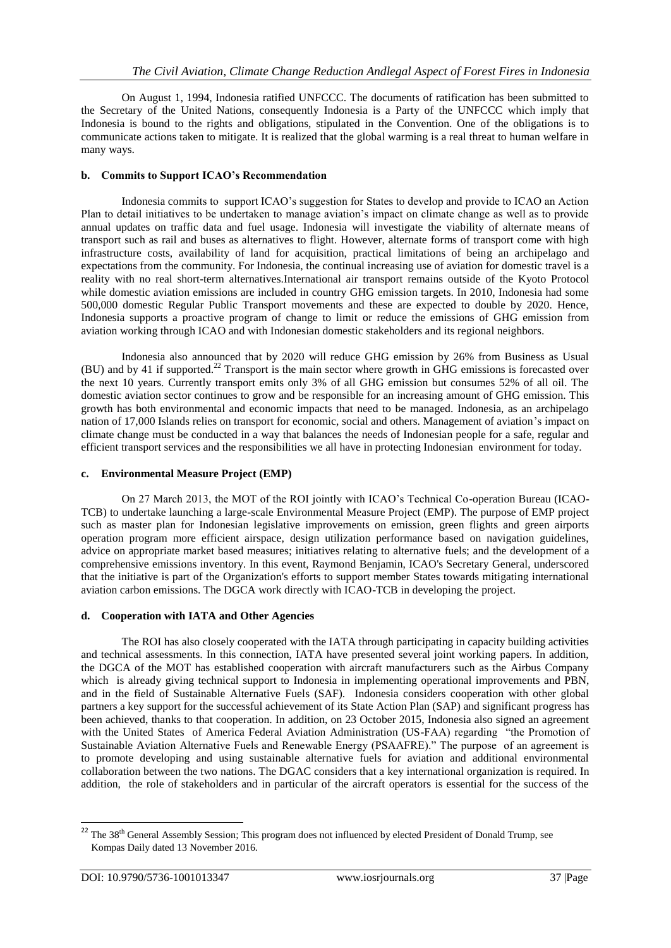On August 1, 1994, Indonesia ratified UNFCCC. The documents of ratification has been submitted to the Secretary of the United Nations, consequently Indonesia is a Party of the UNFCCC which imply that Indonesia is bound to the rights and obligations, stipulated in the Convention. One of the obligations is to communicate actions taken to mitigate. It is realized that the global warming is a real threat to human welfare in many ways.

## **b. Commits to Support ICAO's Recommendation**

Indonesia commits to support ICAO's suggestion for States to develop and provide to ICAO an Action Plan to detail initiatives to be undertaken to manage aviation's impact on climate change as well as to provide annual updates on traffic data and fuel usage. Indonesia will investigate the viability of alternate means of transport such as rail and buses as alternatives to flight. However, alternate forms of transport come with high infrastructure costs, availability of land for acquisition, practical limitations of being an archipelago and expectations from the community. For Indonesia, the continual increasing use of aviation for domestic travel is a reality with no real short-term alternatives.International air transport remains outside of the Kyoto Protocol while domestic aviation emissions are included in country GHG emission targets. In 2010, Indonesia had some 500,000 domestic Regular Public Transport movements and these are expected to double by 2020. Hence, Indonesia supports a proactive program of change to limit or reduce the emissions of GHG emission from aviation working through ICAO and with Indonesian domestic stakeholders and its regional neighbors.

Indonesia also announced that by 2020 will reduce GHG emission by 26% from Business as Usual (BU) and by 41 if supported.<sup>22</sup> Transport is the main sector where growth in GHG emissions is forecasted over the next 10 years. Currently transport emits only 3% of all GHG emission but consumes 52% of all oil. The domestic aviation sector continues to grow and be responsible for an increasing amount of GHG emission. This growth has both environmental and economic impacts that need to be managed. Indonesia, as an archipelago nation of 17,000 Islands relies on transport for economic, social and others. Management of aviation's impact on climate change must be conducted in a way that balances the needs of Indonesian people for a safe, regular and efficient transport services and the responsibilities we all have in protecting Indonesian environment for today.

## **c. Environmental Measure Project (EMP)**

On 27 March 2013, the MOT of the ROI jointly with ICAO's Technical Co-operation Bureau (ICAO-TCB) to undertake launching a large-scale Environmental Measure Project (EMP). The purpose of EMP project such as master plan for Indonesian legislative improvements on emission, green flights and green airports operation program more efficient airspace, design utilization performance based on navigation guidelines, advice on appropriate market based measures; initiatives relating to alternative fuels; and the development of a comprehensive emissions inventory. In this event, Raymond Benjamin, ICAO's Secretary General, underscored that the initiative is part of the Organization's efforts to support member States towards mitigating international aviation carbon emissions. The DGCA work directly with ICAO-TCB in developing the project.

#### **d. Cooperation with IATA and Other Agencies**

The ROI has also closely cooperated with the IATA through participating in capacity building activities and technical assessments. In this connection, IATA have presented several joint working papers. In addition, the DGCA of the MOT has established cooperation with aircraft manufacturers such as the Airbus Company which is already giving technical support to Indonesia in implementing operational improvements and PBN, and in the field of Sustainable Alternative Fuels (SAF). Indonesia considers cooperation with other global partners a key support for the successful achievement of its State Action Plan (SAP) and significant progress has been achieved, thanks to that cooperation. In addition, on 23 October 2015, Indonesia also signed an agreement with the United States of America Federal Aviation Administration (US-FAA) regarding "the Promotion of Sustainable Aviation Alternative Fuels and Renewable Energy (PSAAFRE)." The purpose of an agreement is to promote developing and using sustainable alternative fuels for aviation and additional environmental collaboration between the two nations. The DGAC considers that a key international organization is required. In addition, the role of stakeholders and in particular of the aircraft operators is essential for the success of the

**-**

 $22$  The 38<sup>th</sup> General Assembly Session; This program does not influenced by elected President of Donald Trump, see Kompas Daily dated 13 November 2016.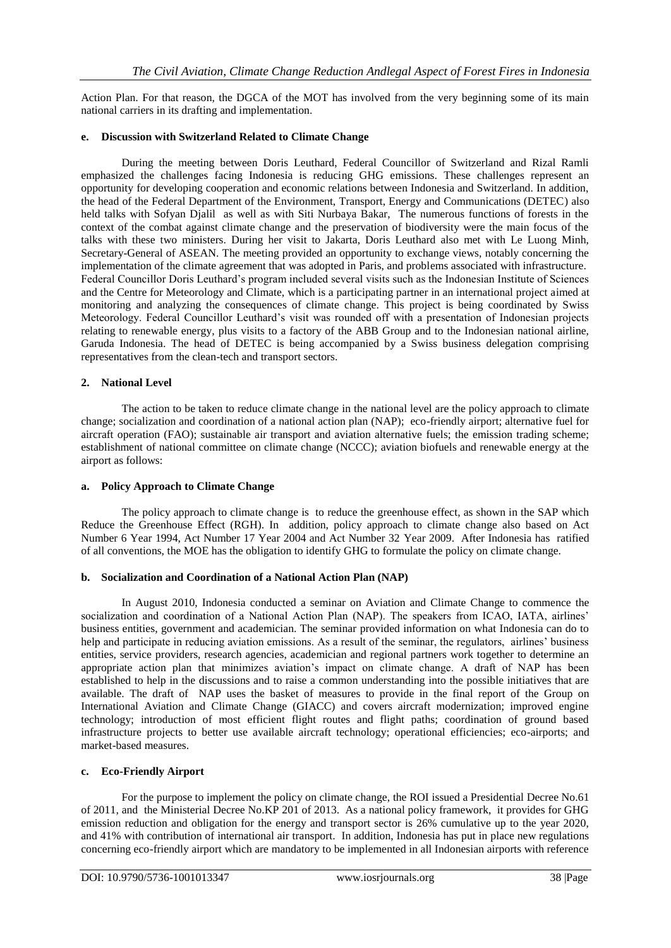Action Plan. For that reason, the DGCA of the MOT has involved from the very beginning some of its main national carriers in its drafting and implementation.

#### **e. Discussion with Switzerland Related to Climate Change**

During the meeting between Doris Leuthard, Federal Councillor of Switzerland and Rizal Ramli emphasized the challenges facing Indonesia is reducing GHG emissions. These challenges represent an opportunity for developing cooperation and economic relations between Indonesia and Switzerland. In addition, the head of the Federal Department of the Environment, Transport, Energy and Communications (DETEC) also held talks with Sofyan Djalil as well as with Siti Nurbaya Bakar, The numerous functions of forests in the context of the combat against climate change and the preservation of biodiversity were the main focus of the talks with these two ministers. During her visit to Jakarta, Doris Leuthard also met with Le Luong Minh, Secretary-General of ASEAN. The meeting provided an opportunity to exchange views, notably concerning the implementation of the climate agreement that was adopted in Paris, and problems associated with infrastructure. Federal Councillor Doris Leuthard's program included several visits such as the Indonesian Institute of Sciences and the Centre for Meteorology and Climate, which is a participating partner in an international project aimed at monitoring and analyzing the consequences of climate change. This project is being coordinated by Swiss Meteorology. Federal Councillor Leuthard's visit was rounded off with a presentation of Indonesian projects relating to renewable energy, plus visits to a factory of the ABB Group and to the Indonesian national airline, Garuda Indonesia. The head of DETEC is being accompanied by a Swiss business delegation comprising representatives from the clean-tech and transport sectors.

## **2. National Level**

The action to be taken to reduce climate change in the national level are the policy approach to climate change; socialization and coordination of a national action plan (NAP); eco-friendly airport; alternative fuel for aircraft operation (FAO); sustainable air transport and aviation alternative fuels; the emission trading scheme; establishment of national committee on climate change (NCCC); aviation biofuels and renewable energy at the airport as follows:

#### **a. Policy Approach to Climate Change**

The policy approach to climate change is to reduce the greenhouse effect, as shown in the SAP which Reduce the Greenhouse Effect (RGH). In addition, policy approach to climate change also based on Act Number 6 Year 1994, Act Number 17 Year 2004 and Act Number 32 Year 2009. After Indonesia has ratified of all conventions, the MOE has the obligation to identify GHG to formulate the policy on climate change.

#### **b. Socialization and Coordination of a National Action Plan (NAP)**

In August 2010, Indonesia conducted a seminar on Aviation and Climate Change to commence the socialization and coordination of a National Action Plan (NAP). The speakers from ICAO, IATA, airlines' business entities, government and academician. The seminar provided information on what Indonesia can do to help and participate in reducing aviation emissions. As a result of the seminar, the regulators, airlines' business entities, service providers, research agencies, academician and regional partners work together to determine an appropriate action plan that minimizes aviation's impact on climate change. A draft of NAP has been established to help in the discussions and to raise a common understanding into the possible initiatives that are available. The draft of NAP uses the basket of measures to provide in the final report of the Group on International Aviation and Climate Change (GIACC) and covers aircraft modernization; improved engine technology; introduction of most efficient flight routes and flight paths; coordination of ground based infrastructure projects to better use available aircraft technology; operational efficiencies; eco-airports; and market-based measures.

## **c. Eco-Friendly Airport**

For the purpose to implement the policy on climate change, the ROI issued a Presidential Decree No.61 of 2011, and the Ministerial Decree No.KP 201 of 2013. As a national policy framework, it provides for GHG emission reduction and obligation for the energy and transport sector is 26% cumulative up to the year 2020, and 41% with contribution of international air transport. In addition, Indonesia has put in place new regulations concerning eco-friendly airport which are mandatory to be implemented in all Indonesian airports with reference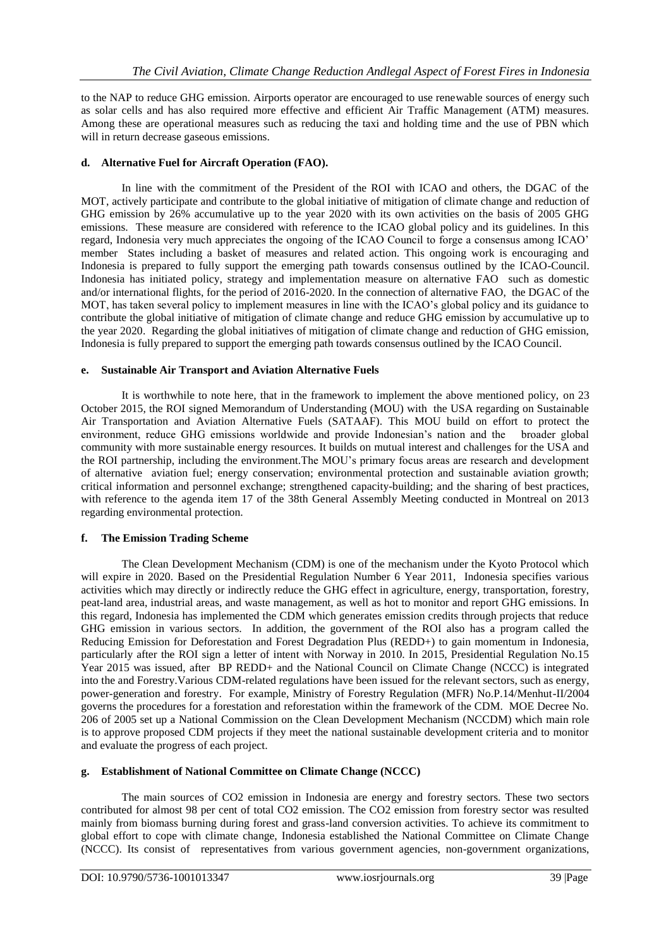to the NAP to reduce GHG emission. Airports operator are encouraged to use renewable sources of energy such as solar cells and has also required more effective and efficient Air Traffic Management (ATM) measures. Among these are operational measures such as reducing the taxi and holding time and the use of PBN which will in return decrease gaseous emissions.

## **d. Alternative Fuel for Aircraft Operation (FAO).**

In line with the commitment of the President of the ROI with ICAO and others, the DGAC of the MOT, actively participate and contribute to the global initiative of mitigation of climate change and reduction of GHG emission by 26% accumulative up to the year 2020 with its own activities on the basis of 2005 GHG emissions. These measure are considered with reference to the ICAO global policy and its guidelines. In this regard, Indonesia very much appreciates the ongoing of the ICAO Council to forge a consensus among ICAO' member States including a basket of measures and related action. This ongoing work is encouraging and Indonesia is prepared to fully support the emerging path towards consensus outlined by the ICAO-Council. Indonesia has initiated policy, strategy and implementation measure on alternative FAO such as domestic and/or international flights, for the period of 2016-2020. In the connection of alternative FAO, the DGAC of the MOT, has taken several policy to implement measures in line with the ICAO's global policy and its guidance to contribute the global initiative of mitigation of climate change and reduce GHG emission by accumulative up to the year 2020. Regarding the global initiatives of mitigation of climate change and reduction of GHG emission, Indonesia is fully prepared to support the emerging path towards consensus outlined by the ICAO Council.

## **e. Sustainable Air Transport and Aviation Alternative Fuels**

It is worthwhile to note here, that in the framework to implement the above mentioned policy, on 23 October 2015, the ROI signed Memorandum of Understanding (MOU) with the USA regarding on Sustainable Air Transportation and Aviation Alternative Fuels (SATAAF). This MOU build on effort to protect the environment, reduce GHG emissions worldwide and provide Indonesian's nation and the broader global community with more sustainable energy resources. It builds on mutual interest and challenges for the USA and the ROI partnership, including the environment.The MOU's primary focus areas are research and development of alternative aviation fuel; energy conservation; environmental protection and sustainable aviation growth; critical information and personnel exchange; strengthened capacity-building; and the sharing of best practices, with reference to the agenda item 17 of the 38th General Assembly Meeting conducted in Montreal on 2013 regarding environmental protection.

## **f. The Emission Trading Scheme**

The Clean Development Mechanism (CDM) is one of the mechanism under the Kyoto Protocol which will expire in 2020. Based on the Presidential Regulation Number 6 Year 2011, Indonesia specifies various activities which may directly or indirectly reduce the GHG effect in agriculture, energy, transportation, forestry, peat-land area, industrial areas, and waste management, as well as hot to monitor and report GHG emissions. In this regard, Indonesia has implemented the CDM which generates emission credits through projects that reduce GHG emission in various sectors. In addition, the government of the ROI also has a program called the Reducing Emission for Deforestation and Forest Degradation Plus (REDD+) to gain momentum in Indonesia, particularly after the ROI sign a letter of intent with Norway in 2010. In 2015, Presidential Regulation No.15 Year 2015 was issued, after BP REDD+ and the National Council on Climate Change (NCCC) is integrated into the and Forestry.Various CDM-related regulations have been issued for the relevant sectors, such as energy, power-generation and forestry. For example, Ministry of Forestry Regulation (MFR) No.P.14/Menhut-II/2004 governs the procedures for a forestation and reforestation within the framework of the CDM. MOE Decree No. 206 of 2005 set up a National Commission on the Clean Development Mechanism (NCCDM) which main role is to approve proposed CDM projects if they meet the national sustainable development criteria and to monitor and evaluate the progress of each project.

## **g. Establishment of National Committee on Climate Change (NCCC)**

The main sources of CO2 emission in Indonesia are energy and forestry sectors. These two sectors contributed for almost 98 per cent of total CO2 emission. The CO2 emission from forestry sector was resulted mainly from biomass burning during forest and grass-land conversion activities. To achieve its commitment to global effort to cope with climate change, Indonesia established the National Committee on Climate Change (NCCC). Its consist of representatives from various government agencies, non-government organizations,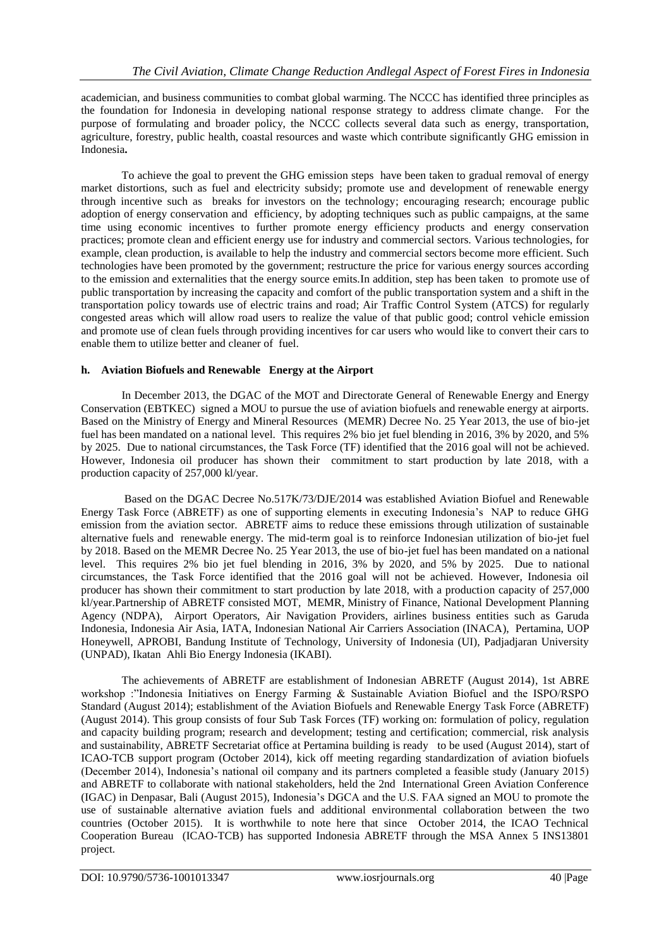academician, and business communities to combat global warming. The NCCC has identified three principles as the foundation for Indonesia in developing national response strategy to address climate change. For the purpose of formulating and broader policy, the NCCC collects several data such as energy, transportation, agriculture, forestry, public health, coastal resources and waste which contribute significantly GHG emission in Indonesia**.**

To achieve the goal to prevent the GHG emission steps have been taken to gradual removal of energy market distortions, such as fuel and electricity subsidy; promote use and development of renewable energy through incentive such as breaks for investors on the technology; encouraging research; encourage public adoption of energy conservation and efficiency, by adopting techniques such as public campaigns, at the same time using economic incentives to further promote energy efficiency products and energy conservation practices; promote clean and efficient energy use for industry and commercial sectors. Various technologies, for example, clean production, is available to help the industry and commercial sectors become more efficient. Such technologies have been promoted by the government; restructure the price for various energy sources according to the emission and externalities that the energy source emits.In addition, step has been taken to promote use of public transportation by increasing the capacity and comfort of the public transportation system and a shift in the transportation policy towards use of electric trains and road; Air Traffic Control System (ATCS) for regularly congested areas which will allow road users to realize the value of that public good; control vehicle emission and promote use of clean fuels through providing incentives for car users who would like to convert their cars to enable them to utilize better and cleaner of fuel.

## **h. Aviation Biofuels and Renewable Energy at the Airport**

In December 2013, the DGAC of the MOT and Directorate General of Renewable Energy and Energy Conservation (EBTKEC) signed a MOU to pursue the use of aviation biofuels and renewable energy at airports. Based on the Ministry of Energy and Mineral Resources (MEMR) Decree No. 25 Year 2013, the use of bio-jet fuel has been mandated on a national level. This requires 2% bio jet fuel blending in 2016, 3% by 2020, and 5% by 2025. Due to national circumstances, the Task Force (TF) identified that the 2016 goal will not be achieved. However, Indonesia oil producer has shown their commitment to start production by late 2018, with a production capacity of 257,000 kl/year.

Based on the DGAC Decree No.517K/73/DJE/2014 was established Aviation Biofuel and Renewable Energy Task Force (ABRETF) as one of supporting elements in executing Indonesia's NAP to reduce GHG emission from the aviation sector. ABRETF aims to reduce these emissions through utilization of sustainable alternative fuels and renewable energy. The mid-term goal is to reinforce Indonesian utilization of bio-jet fuel by 2018. Based on the MEMR Decree No. 25 Year 2013, the use of bio-jet fuel has been mandated on a national level. This requires 2% bio jet fuel blending in 2016, 3% by 2020, and 5% by 2025. Due to national circumstances, the Task Force identified that the 2016 goal will not be achieved. However, Indonesia oil producer has shown their commitment to start production by late 2018, with a production capacity of 257,000 kl/year.Partnership of ABRETF consisted MOT, MEMR, Ministry of Finance, National Development Planning Agency (NDPA), Airport Operators, Air Navigation Providers, airlines business entities such as Garuda Indonesia, Indonesia Air Asia, IATA, Indonesian National Air Carriers Association (INACA), Pertamina, UOP Honeywell, APROBI, Bandung Institute of Technology, University of Indonesia (UI), Padjadjaran University (UNPAD), Ikatan Ahli Bio Energy Indonesia (IKABI).

The achievements of ABRETF are establishment of Indonesian ABRETF (August 2014), 1st ABRE workshop :"Indonesia Initiatives on Energy Farming & Sustainable Aviation Biofuel and the ISPO/RSPO Standard (August 2014); establishment of the Aviation Biofuels and Renewable Energy Task Force (ABRETF) (August 2014). This group consists of four Sub Task Forces (TF) working on: formulation of policy, regulation and capacity building program; research and development; testing and certification; commercial, risk analysis and sustainability, ABRETF Secretariat office at Pertamina building is ready to be used (August 2014), start of ICAO-TCB support program (October 2014), kick off meeting regarding standardization of aviation biofuels (December 2014), Indonesia's national oil company and its partners completed a feasible study (January 2015) and ABRETF to collaborate with national stakeholders, held the 2nd International Green Aviation Conference (IGAC) in Denpasar, Bali (August 2015), Indonesia's DGCA and the U.S. FAA signed an MOU to promote the use of sustainable alternative aviation fuels and additional environmental collaboration between the two countries (October 2015). It is worthwhile to note here that since October 2014, the ICAO Technical Cooperation Bureau (ICAO-TCB) has supported Indonesia ABRETF through the MSA Annex 5 INS13801 project.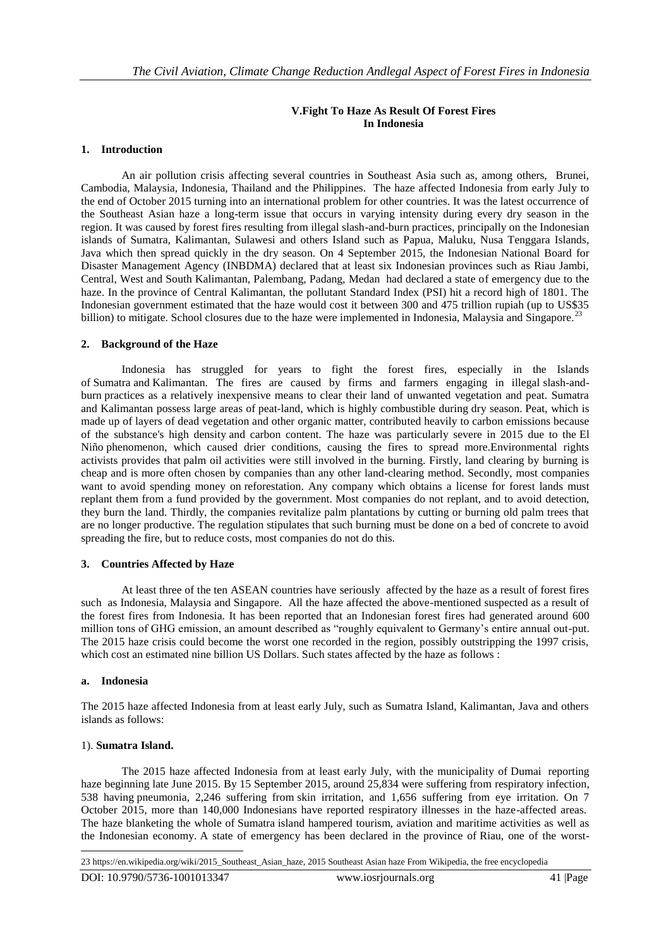#### **V.Fight To Haze As Result Of Forest Fires In Indonesia**

## **1. Introduction**

An air pollution crisis affecting several countries in Southeast Asia such as, among others, Brunei, Cambodia, Malaysia, Indonesia, Thailand and the Philippines. The haze affected Indonesia from early July to the end of October 2015 turning into an international problem for other countries. It was the latest occurrence of the Southeast Asian haze a long-term issue that occurs in varying intensity during every dry season in the region. It was caused by forest fires resulting from illegal slash-and-burn practices, principally on the Indonesian islands of Sumatra, Kalimantan, Sulawesi and others Island such as Papua, Maluku, Nusa Tenggara Islands, Java which then spread quickly in the dry season. On 4 September 2015, the Indonesian National Board for Disaster Management Agency (INBDMA) declared that at least six Indonesian provinces such as Riau Jambi, Central, West and South Kalimantan, Palembang, Padang, Medan had declared a state of emergency due to the haze. In the province of Central Kalimantan, the pollutant Standard Index (PSI) hit a record high of 1801. The Indonesian government estimated that the haze would cost it between 300 and 475 trillion rupiah (up to US\$35 billion) to mitigate. School closures due to the haze were implemented in Indonesia, Malaysia and Singapore.<sup>2</sup>

## **2. Background of the Haze**

Indonesia has struggled for years to fight the forest fires, especially in the Islands of [Sumatra](https://en.wikipedia.org/wiki/Sumatra) and [Kalimantan.](https://en.wikipedia.org/wiki/Kalimantan) The fires are caused by firms and farmers engaging in illegal [slash-and](https://en.wikipedia.org/wiki/Slash-and-burn)[burn](https://en.wikipedia.org/wiki/Slash-and-burn) practices as a relatively inexpensive means to clear their land of unwanted vegetation and peat. Sumatra and Kalimantan possess large areas of [peat-land,](https://en.wikipedia.org/wiki/Peatland) which is highly combustible during [dry season.](https://en.wikipedia.org/wiki/Dry_season) [Peat,](https://en.wikipedia.org/wiki/Peat) which is made up of layers of dead vegetation and other organic matter, contributed heavily to carbon emissions because of the substance's high density and carbon content. The haze was particularly severe in 2015 due to the [El](https://en.wikipedia.org/wiki/El_Ni%C3%B1o)  [Niño](https://en.wikipedia.org/wiki/El_Ni%C3%B1o) phenomenon, which caused drier conditions, causing the fires to spread more.Environmental rights activists provides that [palm oil](https://en.wikipedia.org/wiki/Palm_oil) activities were still involved in the burning. Firstly, land clearing by burning is cheap and is more often chosen by companies than any other land-clearing method. Secondly, most companies want to avoid spending money on [reforestation.](https://en.wikipedia.org/wiki/Reforestation) Any company which obtains a license for forest lands must replant them from a fund provided by the government. Most companies do not replant, and to avoid detection, they burn the land. Thirdly, the companies revitalize palm plantations by cutting or burning old palm trees that are no longer productive. The regulation stipulates that such burning must be done on a bed of concrete to avoid spreading the fire, but to reduce costs, most companies do not do this.

#### **3. Countries Affected by Haze**

At least three of the ten ASEAN countries have seriously affected by the haze as a result of forest fires such as Indonesia, Malaysia and Singapore. All the haze affected the above-mentioned suspected as a result of the forest fires from Indonesia. It has been reported that an Indonesian forest fires had generated around 600 million tons of GHG emission, an amount described as "roughly equivalent to Germany's entire annual out-put. The 2015 haze crisis could become the worst one recorded in the region, possibly outstripping the 1997 crisis, which cost an estimated nine billion US Dollars. Such states affected by the haze as follows :

#### **a. Indonesia**

The 2015 haze affected Indonesia from at least early July, such as Sumatra Island, Kalimantan, Java and others islands as follows:

#### 1). **Sumatra Island.**

The 2015 haze affected Indonesia from at least early July, with the municipality of [Dumai](https://en.wikipedia.org/wiki/Dumai) reporting haze beginning late June 2015. By 15 September 2015, around 25,834 were suffering from [respiratory infection,](https://en.wikipedia.org/wiki/Respiratory_infection) 538 having [pneumonia,](https://en.wikipedia.org/wiki/Pneumonia) 2,246 suffering from [skin irritation,](https://en.wikipedia.org/wiki/Skin_irritation) and 1,656 suffering from eye irritation. On 7 October 2015, more than 140,000 Indonesians have reported respiratory illnesses in the haze-affected areas. The haze blanketing the whole of [Sumatra](https://en.wikipedia.org/wiki/Sumatra) island hampered tourism, aviation and maritime activities as well as the Indonesian economy. A state of emergency has been declared in the province of [Riau,](https://en.wikipedia.org/wiki/Riau) one of the worst-

**<sup>.</sup>** 23 [https://en.wikipedia.org/wiki/2015\\_Southeast\\_Asian\\_haze,](https://en.wikipedia.org/wiki/2015_Southeast_Asian_haze) 2015 Southeast Asian haze From Wikipedia, the free encyclopedia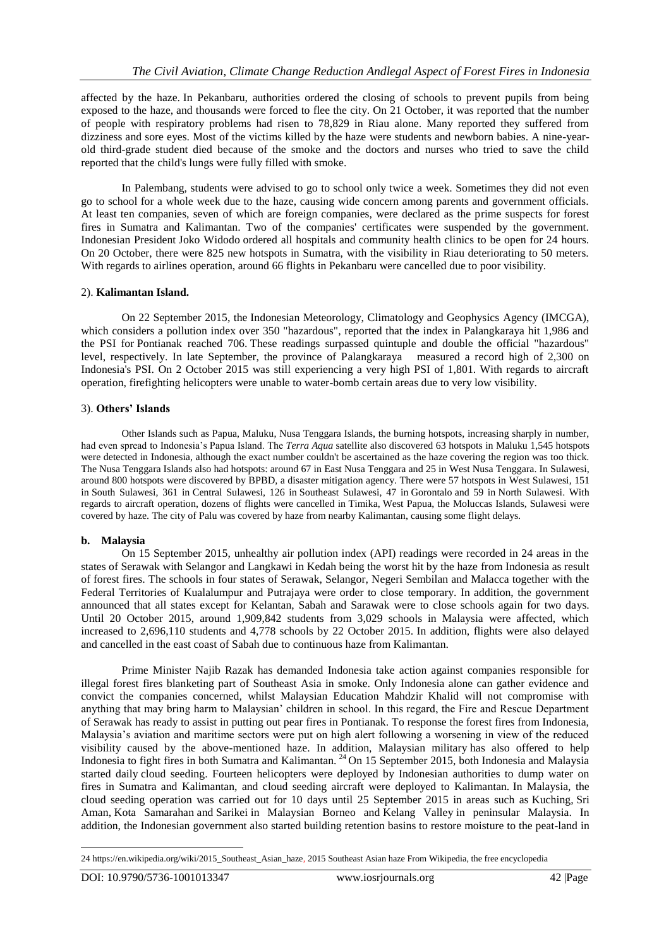affected by the haze. In [Pekanbaru,](https://en.wikipedia.org/wiki/Pekanbaru) authorities ordered the closing of schools to prevent pupils from being exposed to the haze, and thousands were forced to flee the city. On 21 October, it was reported that the number of people with respiratory problems had risen to 78,829 in Riau alone. Many reported they suffered from dizziness and sore eyes. Most of the victims killed by the haze were students and newborn babies. A nine-yearold third-grade student died because of the smoke and the doctors and nurses who tried to save the child reported that the child's lungs were fully filled with smoke.

In [Palembang,](https://en.wikipedia.org/wiki/Palembang) students were advised to go to school only twice a week. Sometimes they did not even go to school for a whole week due to the haze, causing wide concern among parents and government officials. At least ten companies, seven of which are foreign companies, were declared as the prime suspects for forest fires in Sumatra and Kalimantan. Two of the companies' certificates were suspended by the government. Indonesian President [Joko Widodo](https://en.wikipedia.org/wiki/Joko_Widodo) ordered all hospitals and community health clinics to be open for 24 hours. On 20 October, there were 825 new hotspots in Sumatra, with the visibility in Riau deteriorating to 50 meters. With regards to airlines operation, around 66 flights in Pekanbaru were cancelled due to poor visibility.

## 2). **Kalimantan Island.**

On 22 September 2015, the [Indonesian Meteorology, Climatology and Geophysics](https://en.wikipedia.org/wiki/Indonesian_Agency_for_Meteorology,_Climatology_and_Geophysics) Agency (IMCGA), which considers a pollution index over 350 "hazardous", reported that the index in Palangkaraya hit 1,986 and the PSI for [Pontianak](https://en.wikipedia.org/wiki/Pontianak,_Indonesia) reached 706. These readings surpassed quintuple and double the official "hazardous" level, respectively. In late September, the province of Palangkaraya measured a record high of 2,300 on Indonesia's PSI. On 2 October 2015 was still experiencing a very high PSI of 1,801. With regards to aircraft operation, firefighting helicopters were unable to water-bomb certain areas due to very low visibility.

## 3). **Others' Islands**

Other Islands such as Papua, Maluku, Nusa Tenggara Islands, the burning hotspots, increasing sharply in number, had even spread to Indonesia's Papua Island. The *Terra Aqua* satellite also discovered 63 hotspots in [Maluku](https://en.wikipedia.org/wiki/Maluku_(province)) 1,545 hotspots were detected in Indonesia, although the exact number couldn't be ascertained as the haze covering the region was too thick. The [Nusa Tenggara Islands](https://en.wikipedia.org/wiki/Nusa_Tenggara_Islands) also had hotspots: around 67 in [East Nusa Tenggara](https://en.wikipedia.org/wiki/East_Nusa_Tenggara) and 25 in [West Nusa Tenggara.](https://en.wikipedia.org/wiki/West_Nusa_Tenggara) In Sulawesi, around 800 hotspots were discovered by BPBD, a disaster mitigation agency. There were 57 hotspots in [West Sulawesi,](https://en.wikipedia.org/wiki/West_Sulawesi) 151 in [South Sulawesi,](https://en.wikipedia.org/wiki/South_Sulawesi) 361 in [Central Sulawesi,](https://en.wikipedia.org/wiki/Central_Sulawesi) 126 in [Southeast Sulawesi,](https://en.wikipedia.org/wiki/Southeast_Sulawesi) 47 in [Gorontalo](https://en.wikipedia.org/wiki/Gorontalo) and 59 in [North Sulawesi.](https://en.wikipedia.org/wiki/North_Sulawesi) With regards to aircraft operation, dozens of flights were cancelled in [Timika,](https://en.wikipedia.org/wiki/Timika) [West Papua,](https://en.wikipedia.org/wiki/West_Papua_(province)) the Moluccas Islands, Sulawesi were covered by haze. The city of [Palu](https://en.wikipedia.org/wiki/Palu) was covered by haze from nearby Kalimantan, causing some flight delays.

## **b. Malaysia**

On 15 September 2015, unhealthy air pollution index (API) readings were recorded in 24 areas in the states of Serawak with Selangor and Langkawi in Kedah being the worst hit by the haze from Indonesia as result of forest fires. The schools in four states of Serawak, Selangor, Negeri Sembilan and Malacca together with the Federal Territories of Kualalumpur and Putrajaya were order to close temporary. In addition, the government announced that all states except for Kelantan, Sabah and Sarawak were to close schools again for two days. Until 20 October 2015, around 1,909,842 students from 3,029 schools in Malaysia were affected, which increased to 2,696,110 students and 4,778 schools by 22 October 2015. In addition, flights were also delayed and cancelled in the east coast of Sabah due to continuous haze from Kalimantan.

Prime Minister Najib Razak has demanded Indonesia take action against companies responsible for illegal forest fires blanketing part of Southeast Asia in smoke. Only Indonesia alone can gather evidence and convict the companies concerned, whilst Malaysian Education Mahdzir Khalid will not compromise with anything that may bring harm to Malaysian' children in school. In this regard, the Fire and Rescue Department of Serawak has ready to assist in putting out pear fires in Pontianak. To response the forest fires from Indonesia, Malaysia's aviation and maritime sectors were put on high alert following a worsening in view of the reduced visibility caused by the above-mentioned haze. In addition, [Malaysian military](https://en.wikipedia.org/wiki/Malaysian_Armed_Forces) has also offered to help Indonesia to fight fires in both Sumatra and Kalimantan. <sup>24</sup> On 15 September 2015, both Indonesia and Malaysia started daily [cloud seeding.](https://en.wikipedia.org/wiki/Cloud_seeding) Fourteen helicopters were deployed by Indonesian authorities to dump water on fires in Sumatra and Kalimantan, and cloud seeding aircraft were deployed to Kalimantan. In Malaysia, the cloud seeding operation was carried out for 10 days until 25 September 2015 in areas such as [Kuching,](https://en.wikipedia.org/wiki/Kuching) [Sri](https://en.wikipedia.org/wiki/Sri_Aman)  [Aman,](https://en.wikipedia.org/wiki/Sri_Aman) [Kota Samarahan](https://en.wikipedia.org/wiki/Kota_Samarahan) and [Sarikei](https://en.wikipedia.org/wiki/Sarikei) in Malaysian Borneo and [Kelang Valley](https://en.wikipedia.org/wiki/Klang_Valley) in peninsular Malaysia. In addition, the Indonesian government also started building [retention basins](https://en.wikipedia.org/wiki/Retention_basin) to restore moisture to the peat-land in

**<sup>.</sup>** 24 [https://en.wikipedia.org/wiki/2015\\_Southeast\\_Asian\\_haze,](https://en.wikipedia.org/wiki/2015_Southeast_Asian_haze) 2015 Southeast Asian haze From Wikipedia, the free encyclopedia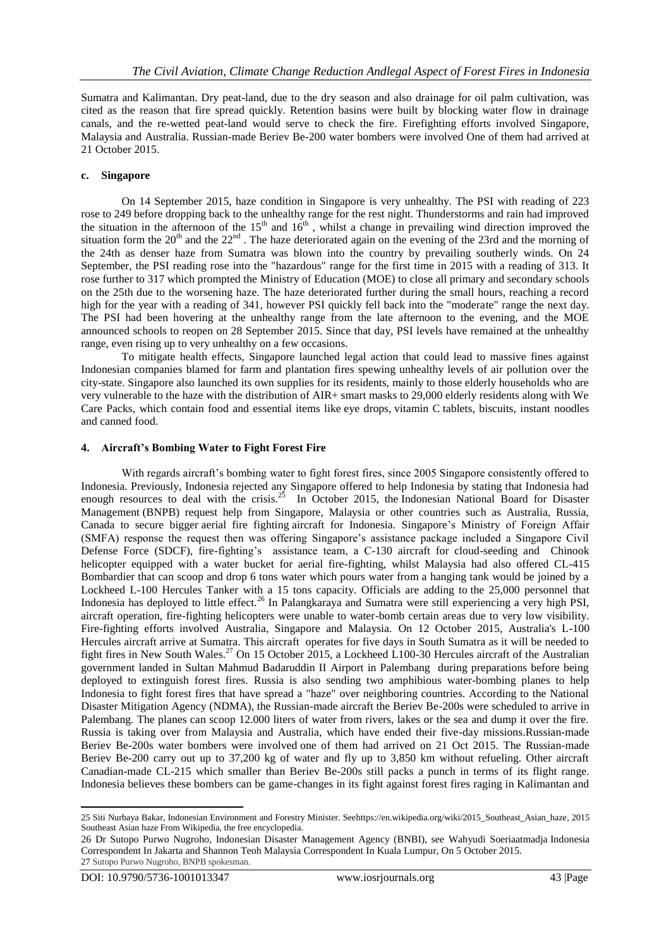Sumatra and Kalimantan. Dry peat-land, due to the dry season and also drainage for oil palm cultivation, was cited as the reason that fire spread quickly. Retention basins were built by blocking water flow in drainage canals, and the re-wetted peat-land would serve to check the fire. Firefighting efforts involved Singapore, Malaysia and Australia. Russian-made Beriev Be-200 water bombers were involved One of them had arrived at 21 October 2015.

## **c. Singapore**

On 14 September 2015, haze condition in Singapore is very unhealthy. The PSI with reading of 223 rose to 249 before dropping back to the unhealthy range for the rest night. Thunderstorms and rain had improved the situation in the afternoon of the  $15<sup>th</sup>$  and  $16<sup>th</sup>$ , whilst a change in prevailing wind direction improved the situation form the  $20<sup>th</sup>$  and the  $22<sup>nd</sup>$ . The haze deteriorated again on the evening of the 23rd and the morning of the 24th as denser haze from Sumatra was blown into the country by prevailing southerly winds. On 24 September, the PSI reading rose into the "hazardous" range for the first time in 2015 with a reading of 313. It rose further to 317 which prompted the [Ministry of Education \(MOE\)](https://en.wikipedia.org/wiki/Ministry_of_Education_(Singapore)) to close all primary and secondary schools on the 25th due to the worsening haze. The haze deteriorated further during the small hours, reaching a record high for the year with a reading of 341, however PSI quickly fell back into the "moderate" range the next day. The PSI had been hovering at the unhealthy range from the late afternoon to the evening, and the MOE announced schools to reopen on 28 September 2015. Since that day, PSI levels have remained at the unhealthy range, even rising up to very unhealthy on a few occasions.

To mitigate health effects, Singapore launched legal action that could lead to massive fines against Indonesian companies blamed for farm and plantation fires spewing unhealthy levels of air pollution over the city-state. Singapore also launched its own supplies for its residents, mainly to those elderly households who are very vulnerable to the haze with the distribution of AIR+ smart masks to 29,000 elderly residents along with We Care Packs, which contain food and essential items like [eye drops,](https://en.wikipedia.org/wiki/Eyedrops) [vitamin C](https://en.wikipedia.org/wiki/Vitamin_C) tablets, biscuits, instant noodles and canned food.

## **4. Aircraft's Bombing Water to Fight Forest Fire**

With regards aircraft's bombing water to fight forest fires, since 2005 Singapore consistently offered to Indonesia. Previously, Indonesia rejected any Singapore offered to help Indonesia by stating that Indonesia had enough resources to deal with the crisis.<sup>25</sup> In October 2015, the Indonesian National Board for Disaster [Management](https://en.wikipedia.org/wiki/Indonesian_National_Board_for_Disaster_Management) (BNPB) request help from Singapore, Malaysia or other countries such as Australia, Russia, Canada to secure bigger [aerial fire fighting](https://en.wikipedia.org/wiki/Aerial_firefighting) aircraft for Indonesia. Singapore's Ministry of Foreign Affair (SMFA) response the request then was offering Singapore's assistance package included a Singapore Civil Defense Force (SDCF), fire-fighting's assistance team, a C-130 aircraft for cloud-seeding and Chinook helicopter equipped with a water bucket for aerial fire-fighting, whilst Malaysia had also offered CL-415 Bombardier that can scoop and drop 6 tons water which pours water from a hanging tank would be joined by a Lockheed L-100 Hercules Tanker with a 15 tons capacity. Officials are adding to the 25,000 personnel that Indonesia has deployed to little effect.<sup>26</sup> In Palangkaraya and Sumatra were still experiencing a very high PSI, aircraft operation, fire-fighting helicopters were unable to water-bomb certain areas due to very low visibility. Fire-fighting efforts involved Australia, Singapore and Malaysia. On 12 October 2015, Australia's L-100 Hercules aircraft arrive at Sumatra. This aircraft operates for five days in South Sumatra as it will be needed to fight fires in New South Wales.<sup>27</sup> On 15 October 2015, a Lockheed L100-30 Hercules aircraft of the Australian government landed in Sultan Mahmud Badaruddin II Airport in Palembang during preparations before being deployed to extinguish forest fires. Russia is also sending two amphibious water-bombing planes to help Indonesia to fight forest fires that have spread a "haze" over neighboring countries. According to the National Disaster Mitigation Agency (NDMA), the Russian-made aircraft the Beriev Be-200s were scheduled to arrive in Palembang. The planes can scoop 12.000 liters of water from rivers, lakes or the sea and dump it over the fire. Russia is taking over from Malaysia and Australia, which have ended their five-day missions.Russian-made Beriev Be-200s water bombers were involved one of them had arrived on 21 Oct 2015. The Russian-made Beriev Be-200 carry out up to 37,200 kg of water and fly up to 3,850 km without refueling. Other aircraft Canadian-made CL-215 which smaller than Beriev Be-200s still packs a punch in terms of its flight range. Indonesia believes these bombers can be game-changes in its fight against forest fires raging in Kalimantan and

<sup>1</sup> 25 Siti Nurbaya Bakar, Indonesian Environment and Forestry Minister. Se[ehttps://en.wikipedia.org/wiki/2015\\_Southeast\\_Asian\\_haze,](https://en.wikipedia.org/wiki/2015_Southeast_Asian_haze) 2015 Southeast Asian haze From Wikipedia, the free encyclopedia.

<sup>26</sup> Dr Sutopo Purwo Nugroho, Indonesian Disaster Management Agency (BNBI), see [Wahyudi Soeriaatmadja](http://www.straitstimes.com/authors/wahyudi-soeriaatmadja) Indonesia Correspondent In Jakarta and [Shannon Teoh](http://www.straitstimes.com/authors/shannon-teoh) Malaysia Correspondent In Kuala Lumpur, On 5 October 2015. 27 Sutopo Purwo Nugroho, BNPB spokesman.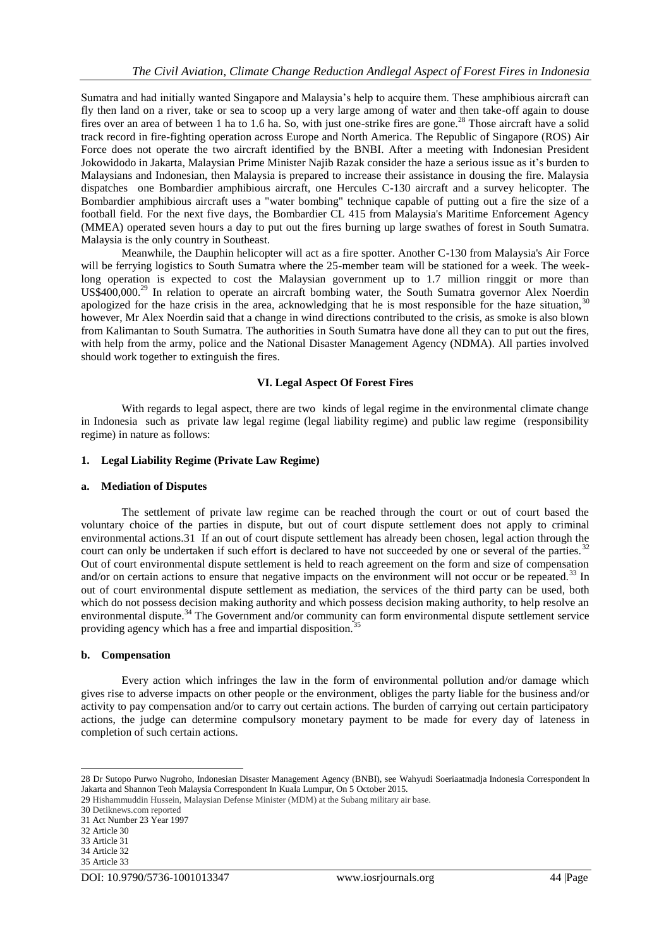Sumatra and had initially wanted Singapore and Malaysia's help to acquire them. These amphibious aircraft can fly then land on a river, take or sea to scoop up a very large among of water and then take-off again to douse fires over an area of between 1 ha to 1.6 ha. So, with just one-strike fires are gone.<sup>28</sup> Those aircraft have a solid track record in fire-fighting operation across Europe and North America. The Republic of Singapore (ROS) Air Force does not operate the two aircraft identified by the BNBI. After a meeting with Indonesian President Jokowidodo in Jakarta, Malaysian Prime Minister Najib Razak consider the haze a serious issue as it's burden to Malaysians and Indonesian, then Malaysia is prepared to increase their assistance in dousing the fire. Malaysia dispatches one Bombardier amphibious aircraft, one Hercules C-130 aircraft and a survey helicopter. The Bombardier amphibious aircraft uses a "water bombing" technique capable of putting out a fire the size of a football field. For the next five days, the Bombardier CL 415 from Malaysia's Maritime Enforcement Agency (MMEA) operated seven hours a day to put out the fires burning up large swathes of forest in South Sumatra. Malaysia is the only country in Southeast.

Meanwhile, the Dauphin helicopter will act as a fire spotter. Another C-130 from Malaysia's Air Force will be ferrying logistics to South Sumatra where the 25-member team will be stationed for a week. The weeklong operation is expected to cost the Malaysian government up to 1.7 million ringgit or more than US\$400,000.<sup>29</sup> In relation to operate an aircraft bombing water, the South Sumatra governor Alex Noerdin apologized for the haze crisis in the area, acknowledging that he is most responsible for the haze situation,<sup>30</sup> however, Mr Alex Noerdin said that a change in wind directions contributed to the crisis, as smoke is also blown from Kalimantan to South Sumatra. The authorities in South Sumatra have done all they can to put out the fires, with help from the army, police and the National Disaster Management Agency (NDMA). All parties involved should work together to extinguish the fires.

#### **VI. Legal Aspect Of Forest Fires**

With regards to legal aspect, there are two kinds of legal regime in the environmental climate change in Indonesia such as private law legal regime (legal liability regime) and public law regime (responsibility regime) in nature as follows:

#### **1. Legal Liability Regime (Private Law Regime)**

#### **a. Mediation of Disputes**

The settlement of private law regime can be reached through the court or out of court based the voluntary choice of the parties in dispute, but out of court dispute settlement does not apply to criminal environmental actions.31 If an out of court dispute settlement has already been chosen, legal action through the court can only be undertaken if such effort is declared to have not succeeded by one or several of the parties.<sup>32</sup> Out of court environmental dispute settlement is held to reach agreement on the form and size of compensation and/or on certain actions to ensure that negative impacts on the environment will not occur or be repeated.<sup>33</sup> In out of court environmental dispute settlement as mediation, the services of the third party can be used, both which do not possess decision making authority and which possess decision making authority, to help resolve an environmental dispute.<sup>34</sup> The Government and/or community can form environmental dispute settlement service providing agency which has a free and impartial disposition.<sup>3</sup>

#### **b. Compensation**

Every action which infringes the law in the form of environmental pollution and/or damage which gives rise to adverse impacts on other people or the environment, obliges the party liable for the business and/or activity to pay compensation and/or to carry out certain actions. The burden of carrying out certain participatory actions, the judge can determine compulsory monetary payment to be made for every day of lateness in completion of such certain actions.

1

<sup>28</sup> Dr Sutopo Purwo Nugroho, Indonesian Disaster Management Agency (BNBI), see [Wahyudi Soeriaatmadja](http://www.straitstimes.com/authors/wahyudi-soeriaatmadja) Indonesia Correspondent In Jakarta and [Shannon Teoh](http://www.straitstimes.com/authors/shannon-teoh) Malaysia Correspondent In Kuala Lumpur, On 5 October 2015.

<sup>29</sup> Hishammuddin Hussein, Malaysian Defense Minister (MDM) at the Subang military air base.

<sup>30</sup> Detiknews.com reported

<sup>31</sup> Act Number 23 Year 1997

<sup>32</sup> Article 30

<sup>33</sup> Article 31

<sup>34</sup> Article 32

<sup>35</sup> Article 33

DOI: 10.9790/5736-1001013347 www.iosrjournals.org 44 |Page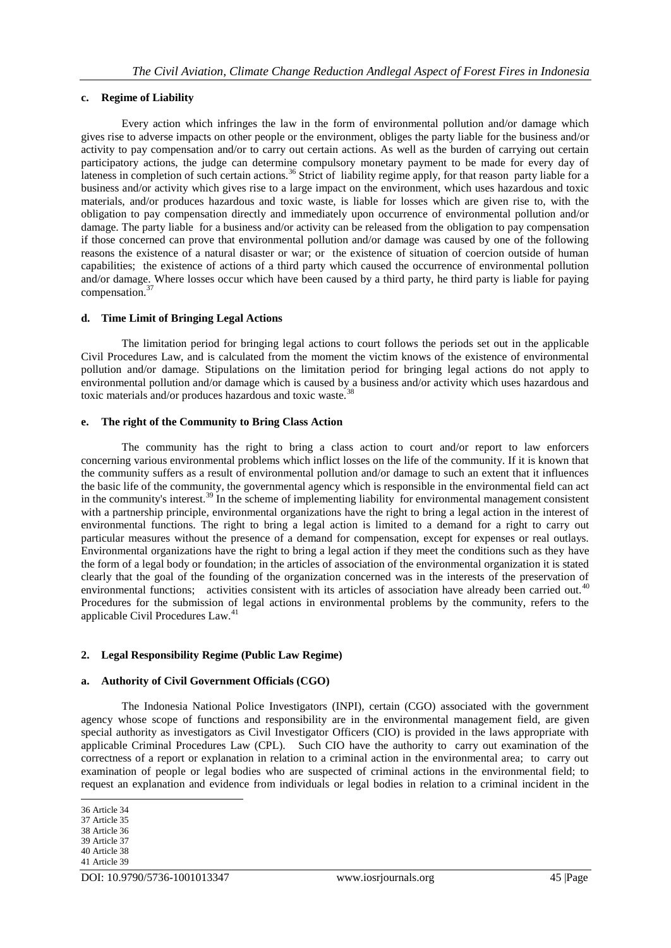## **c. Regime of Liability**

Every action which infringes the law in the form of environmental pollution and/or damage which gives rise to adverse impacts on other people or the environment, obliges the party liable for the business and/or activity to pay compensation and/or to carry out certain actions. As well as the burden of carrying out certain participatory actions, the judge can determine compulsory monetary payment to be made for every day of lateness in completion of such certain actions.<sup>36</sup> Strict of liability regime apply, for that reason party liable for a business and/or activity which gives rise to a large impact on the environment, which uses hazardous and toxic materials, and/or produces hazardous and toxic waste, is liable for losses which are given rise to, with the obligation to pay compensation directly and immediately upon occurrence of environmental pollution and/or damage. The party liable for a business and/or activity can be released from the obligation to pay compensation if those concerned can prove that environmental pollution and/or damage was caused by one of the following reasons the existence of a natural disaster or war; or the existence of situation of coercion outside of human capabilities; the existence of actions of a third party which caused the occurrence of environmental pollution and/or damage. Where losses occur which have been caused by a third party, he third party is liable for paying compensation.<sup>3</sup>

## **d. Time Limit of Bringing Legal Actions**

The limitation period for bringing legal actions to court follows the periods set out in the applicable Civil Procedures Law, and is calculated from the moment the victim knows of the existence of environmental pollution and/or damage. Stipulations on the limitation period for bringing legal actions do not apply to environmental pollution and/or damage which is caused by a business and/or activity which uses hazardous and toxic materials and/or produces hazardous and toxic waste.

## **e. The right of the Community to Bring Class Action**

The community has the right to bring a class action to court and/or report to law enforcers concerning various environmental problems which inflict losses on the life of the community. If it is known that the community suffers as a result of environmental pollution and/or damage to such an extent that it influences the basic life of the community, the governmental agency which is responsible in the environmental field can act in the community's interest.<sup>39</sup> In the scheme of implementing liability for environmental management consistent with a partnership principle, environmental organizations have the right to bring a legal action in the interest of environmental functions. The right to bring a legal action is limited to a demand for a right to carry out particular measures without the presence of a demand for compensation, except for expenses or real outlays. Environmental organizations have the right to bring a legal action if they meet the conditions such as they have the form of a legal body or foundation; in the articles of association of the environmental organization it is stated clearly that the goal of the founding of the organization concerned was in the interests of the preservation of environmental functions; activities consistent with its articles of association have already been carried out.<sup>40</sup> Procedures for the submission of legal actions in environmental problems by the community, refers to the applicable Civil Procedures Law.<sup>41</sup>

## **2. Legal Responsibility Regime (Public Law Regime)**

#### **a. Authority of Civil Government Officials (CGO)**

The Indonesia National Police Investigators (INPI), certain (CGO) associated with the government agency whose scope of functions and responsibility are in the environmental management field, are given special authority as investigators as Civil Investigator Officers (CIO) is provided in the laws appropriate with applicable Criminal Procedures Law (CPL). Such CIO have the authority to carry out examination of the correctness of a report or explanation in relation to a criminal action in the environmental area; to carry out examination of people or legal bodies who are suspected of criminal actions in the environmental field; to request an explanation and evidence from individuals or legal bodies in relation to a criminal incident in the

**<sup>.</sup>** 36 Article 34

<sup>37</sup> Article 35 38 Article 36

<sup>39</sup> Article 37

<sup>40</sup> Article 38

<sup>41</sup> Article 39

DOI: 10.9790/5736-1001013347 www.iosrjournals.org 45 |Page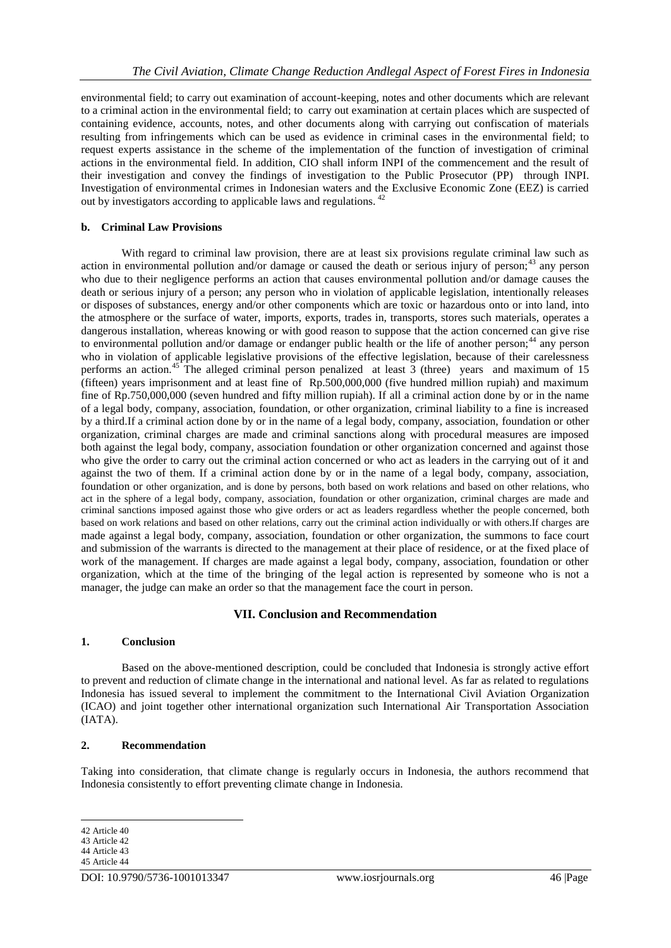environmental field; to carry out examination of account-keeping, notes and other documents which are relevant to a criminal action in the environmental field; to carry out examination at certain places which are suspected of containing evidence, accounts, notes, and other documents along with carrying out confiscation of materials resulting from infringements which can be used as evidence in criminal cases in the environmental field; to request experts assistance in the scheme of the implementation of the function of investigation of criminal actions in the environmental field. In addition, CIO shall inform INPI of the commencement and the result of their investigation and convey the findings of investigation to the Public Prosecutor (PP) through INPI. Investigation of environmental crimes in Indonesian waters and the Exclusive Economic Zone (EEZ) is carried out by investigators according to applicable laws and regulations. <sup>42</sup>

## **b. Criminal Law Provisions**

With regard to criminal law provision, there are at least six provisions regulate criminal law such as action in environmental pollution and/or damage or caused the death or serious injury of person;<sup>43</sup> any person who due to their negligence performs an action that causes environmental pollution and/or damage causes the death or serious injury of a person; any person who in violation of applicable legislation, intentionally releases or disposes of substances, energy and/or other components which are toxic or hazardous onto or into land, into the atmosphere or the surface of water, imports, exports, trades in, transports, stores such materials, operates a dangerous installation, whereas knowing or with good reason to suppose that the action concerned can give rise to environmental pollution and/or damage or endanger public health or the life of another person;<sup>44</sup> any person who in violation of applicable legislative provisions of the effective legislation, because of their carelessness performs an action.<sup>45</sup> The alleged criminal person penalized at least  $\overline{3}$  (three) years and maximum of 15 (fifteen) years imprisonment and at least fine of Rp.500,000,000 (five hundred million rupiah) and maximum fine of Rp.750,000,000 (seven hundred and fifty million rupiah). If all a criminal action done by or in the name of a legal body, company, association, foundation, or other organization, criminal liability to a fine is increased by a third.If a criminal action done by or in the name of a legal body, company, association, foundation or other organization, criminal charges are made and criminal sanctions along with procedural measures are imposed both against the legal body, company, association foundation or other organization concerned and against those who give the order to carry out the criminal action concerned or who act as leaders in the carrying out of it and against the two of them. If a criminal action done by or in the name of a legal body, company, association, foundation or other organization, and is done by persons, both based on work relations and based on other relations, who act in the sphere of a legal body, company, association, foundation or other organization, criminal charges are made and criminal sanctions imposed against those who give orders or act as leaders regardless whether the people concerned, both based on work relations and based on other relations, carry out the criminal action individually or with others.If charges are made against a legal body, company, association, foundation or other organization, the summons to face court and submission of the warrants is directed to the management at their place of residence, or at the fixed place of work of the management. If charges are made against a legal body, company, association, foundation or other organization, which at the time of the bringing of the legal action is represented by someone who is not a manager, the judge can make an order so that the management face the court in person.

## **VII. Conclusion and Recommendation**

## **1. Conclusion**

Based on the above-mentioned description, could be concluded that Indonesia is strongly active effort to prevent and reduction of climate change in the international and national level. As far as related to regulations Indonesia has issued several to implement the commitment to the International Civil Aviation Organization (ICAO) and joint together other international organization such International Air Transportation Association (IATA).

## **2. Recommendation**

Taking into consideration, that climate change is regularly occurs in Indonesia, the authors recommend that Indonesia consistently to effort preventing climate change in Indonesia.

1

<sup>42</sup> Article 40

<sup>43</sup> Article 42 44 Article 43

<sup>45</sup> Article 44

DOI: 10.9790/5736-1001013347 www.iosrjournals.org 46 |Page